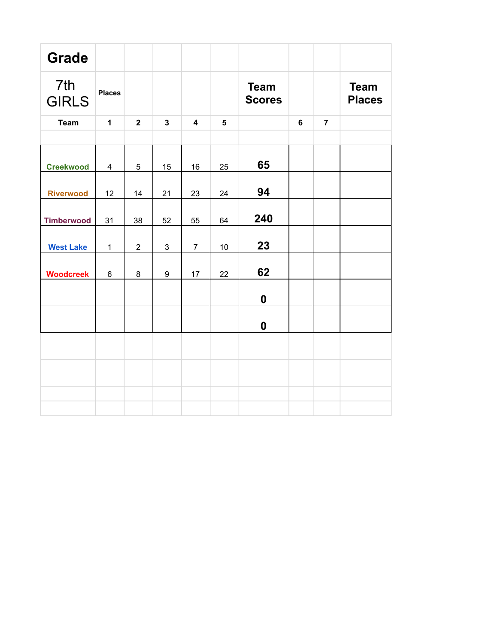| <b>Grade</b>        |               |                |                |                |                |                              |                |                |                              |
|---------------------|---------------|----------------|----------------|----------------|----------------|------------------------------|----------------|----------------|------------------------------|
| 7th<br><b>GIRLS</b> | <b>Places</b> |                |                |                |                | <b>Team</b><br><b>Scores</b> |                |                | <b>Team</b><br><b>Places</b> |
| <b>Team</b>         | $\mathbf{1}$  | $\overline{2}$ | $\mathbf{3}$   | $\overline{4}$ | $5\phantom{1}$ |                              | $6\phantom{a}$ | $\overline{7}$ |                              |
|                     |               |                |                |                |                |                              |                |                |                              |
| <b>Creekwood</b>    | 4             | 5              | 15             | 16             | 25             | 65                           |                |                |                              |
| <b>Riverwood</b>    | 12            | 14             | 21             | 23             | 24             | 94                           |                |                |                              |
| <b>Timberwood</b>   | 31            | 38             | 52             | 55             | 64             | 240                          |                |                |                              |
| <b>West Lake</b>    | $\mathbf{1}$  | $\overline{2}$ | $\mathfrak{S}$ | $\overline{7}$ | 10             | 23                           |                |                |                              |
| <b>Woodcreek</b>    | 6             | 8              | 9              | 17             | 22             | 62                           |                |                |                              |
|                     |               |                |                |                |                | $\boldsymbol{0}$             |                |                |                              |
|                     |               |                |                |                |                | $\boldsymbol{0}$             |                |                |                              |
|                     |               |                |                |                |                |                              |                |                |                              |
|                     |               |                |                |                |                |                              |                |                |                              |
|                     |               |                |                |                |                |                              |                |                |                              |
|                     |               |                |                |                |                |                              |                |                |                              |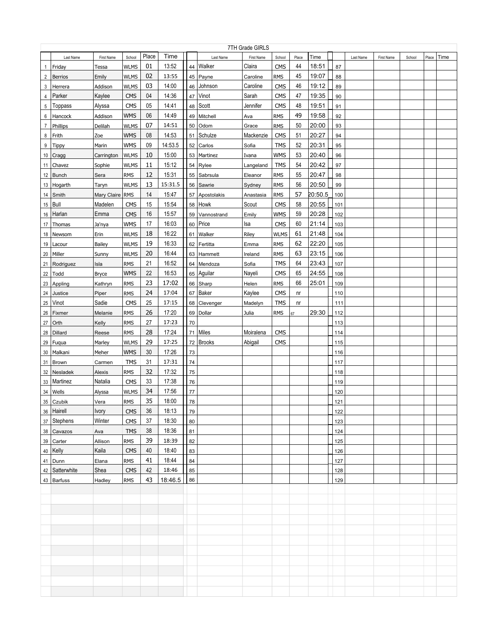|                | 7TH Grade GIRLS |              |             |       |         |    |                |            |             |       |         |     |           |            |        |       |      |
|----------------|-----------------|--------------|-------------|-------|---------|----|----------------|------------|-------------|-------|---------|-----|-----------|------------|--------|-------|------|
|                | Last Name       | First Name   | School      | Place | Time    |    | Last Name      | First Name | School      | Place | Time    |     | Last Name | First Name | School | Place | Time |
| $\mathbf{1}$   | Friday          | Tessa        | <b>WLMS</b> | 01    | 13:52   | 44 | Walker         | Claira     | <b>CMS</b>  | 44    | 18:51   | 87  |           |            |        |       |      |
| $\overline{2}$ | Berrios         | Emily        | <b>WLMS</b> | 02    | 13:55   | 45 | Payne          | Caroline   | <b>RMS</b>  | 45    | 19:07   | 88  |           |            |        |       |      |
| 3              | Herrera         | Addison      | <b>WLMS</b> | 03    | 14:00   | 46 | Johnson        | Caroline   | <b>CMS</b>  | 46    | 19:12   | 89  |           |            |        |       |      |
| 4              | Parker          | Kaylee       | <b>CMS</b>  | 04    | 14:36   | 47 | Vinot          | Sarah      | <b>CMS</b>  | 47    | 19:35   | 90  |           |            |        |       |      |
| 5              | <b>Toppass</b>  | Alyssa       | <b>CMS</b>  | 05    | 14:41   | 48 | Scott          | Jennifer   | <b>CMS</b>  | 48    | 19:51   | 91  |           |            |        |       |      |
| 6              | Hancock         | Addison      | <b>WMS</b>  | 06    | 14:49   | 49 | Mitchell       | Ava        | <b>RMS</b>  | 49    | 19:58   | 92  |           |            |        |       |      |
| $\overline{7}$ | Phillips        | Delilah      | <b>WLMS</b> | 07    | 14:51   | 50 | Odom           | Grace      | <b>RMS</b>  | 50    | 20:00   | 93  |           |            |        |       |      |
| 8              | Frith           | Zoe          | <b>WMS</b>  | 08    | 14:53   | 51 | Schulze        | Mackenzie  | <b>CMS</b>  | 51    | 20:27   | 94  |           |            |        |       |      |
| 9              | Tippy           | Marin        | <b>WMS</b>  | 09    | 14:53.5 | 52 | Carlos         | Sofia      | <b>TMS</b>  | 52    | 20:31   | 95  |           |            |        |       |      |
| 10             | Cragg           | Carrington   | <b>WLMS</b> | 10    | 15:00   |    | 53   Martinez  | Ivana      | <b>WMS</b>  | 53    | 20:40   | 96  |           |            |        |       |      |
| 11             | Chavez          | Sophie       | <b>WLMS</b> | 11    | 15:12   | 54 | Rylee          | Langeland  | <b>TMS</b>  | 54    | 20:42   | 97  |           |            |        |       |      |
| 12             | Bunch           | Sera         | <b>RMS</b>  | 12    | 15:31   | 55 | Sabrsula       | Eleanor    | <b>RMS</b>  | 55    | 20:47   | 98  |           |            |        |       |      |
| 13             | Hogarth         | Taryn        | <b>WLMS</b> | 13    | 15:31.5 |    | 56 Sawrie      | Sydney     | <b>RMS</b>  | 56    | 20:50   | 99  |           |            |        |       |      |
| 14             | Smith           | Mary Claire  | <b>RMS</b>  | 14    | 15:47   |    | 57 Apostolakis | Anastasia  | <b>RMS</b>  | 57    | 20:50.5 | 100 |           |            |        |       |      |
| 15             | Bull            | Madelen      | <b>CMS</b>  | 15    | 15:54   |    | 58 Howk        | Scout      | <b>CMS</b>  | 58    | 20:55   | 101 |           |            |        |       |      |
|                | 16 Harlan       | Emma         | <b>CMS</b>  | 16    | 15:57   |    | 59 Vannostrand | Emily      | <b>WMS</b>  | 59    | 20:28   | 102 |           |            |        |       |      |
| 17             | Thomas          | Ja'nya       | <b>WMS</b>  | 17    | 16:03   |    | 60   Price     | lsa        | <b>CMS</b>  | 60    | 21:14   | 103 |           |            |        |       |      |
| 18             | Newsom          | Erin         | <b>WLMS</b> | 18    | 16:22   |    | 61 Walker      | Riley      | <b>WLMS</b> | 61    | 21:48   | 104 |           |            |        |       |      |
|                | 19   Lacour     | Bailey       | <b>WLMS</b> | 19    | 16:33   |    | 62 Fertitta    | Emma       | <b>RMS</b>  | 62    | 22:20   | 105 |           |            |        |       |      |
|                | 20 Miller       | Sunny        | <b>WLMS</b> | 20    | 16:44   |    | 63 Hammett     | Ireland    | <b>RMS</b>  | 63    | 23:15   | 106 |           |            |        |       |      |
|                | 21   Rodriguez  | Isla         | <b>RMS</b>  | 21    | 16:52   |    | 64   Mendoza   | Sofia      | <b>TMS</b>  | 64    | 23:43   | 107 |           |            |        |       |      |
|                | 22 Todd         | <b>Bryce</b> | <b>WMS</b>  | 22    | 16:53   |    | 65 Aguilar     | Nayeli     | <b>CMS</b>  | 65    | 24:55   | 108 |           |            |        |       |      |
|                | 23 Appling      | Kathryn      | <b>RMS</b>  | 23    | 17:02   |    | 66 Sharp       | Helen      | <b>RMS</b>  | 66    | 25:01   | 109 |           |            |        |       |      |
|                | 24 Justice      | Piper        | <b>RMS</b>  | 24    | 17:04   |    | 67 Baker       | Kaylee     | <b>CMS</b>  | nr    |         | 110 |           |            |        |       |      |
| 25             | Vinot           | Sadie        | <b>CMS</b>  | 25    | 17:15   |    | 68 Clevenger   | Madelyn    | <b>TMS</b>  | nr    |         | 111 |           |            |        |       |      |
| 26             | Fixmer          | Melanie      | <b>RMS</b>  | 26    | 17:20   |    | 69 Dollar      | Julia      | <b>RMS</b>  | 67    | 29:30   | 112 |           |            |        |       |      |
| 27             | <b>Orth</b>     | Kelly        | <b>RMS</b>  | 27    | 17:23   | 70 |                |            |             |       |         | 113 |           |            |        |       |      |
| 28             | Dillard         | Reese        | <b>RMS</b>  | 28    | 17:24   |    | 71 Miles       | Moiralena  | <b>CMS</b>  |       |         | 114 |           |            |        |       |      |
| 29             | Fuqua           | Marley       | <b>WLMS</b> | 29    | 17:25   |    | 72   Brooks    | Abigail    | <b>CMS</b>  |       |         | 115 |           |            |        |       |      |
| 30             | Malkani         | Meher        | <b>WMS</b>  | 30    | 17:26   | 73 |                |            |             |       |         | 116 |           |            |        |       |      |
| 31             | Brown           | Carmen       | <b>TMS</b>  | 31    | 17:31   | 74 |                |            |             |       |         | 117 |           |            |        |       |      |
| 32             | Nesladek        | Alexis       | <b>RMS</b>  | 32    | 17:32   | 75 |                |            |             |       |         | 118 |           |            |        |       |      |
| 33             | Martinez        | Natalia      | <b>CMS</b>  | 33    | 17:38   | 76 |                |            |             |       |         | 119 |           |            |        |       |      |
| 34             | Wells           | Alyssa       | <b>WLMS</b> | 34    | 17:56   | 77 |                |            |             |       |         | 120 |           |            |        |       |      |
| 35             | Czubik          | Vera         | <b>RMS</b>  | 35    | 18:00   | 78 |                |            |             |       |         | 121 |           |            |        |       |      |
|                | 36 Hairell      | <b>Ivory</b> | <b>CMS</b>  | 36    | 18:13   | 79 |                |            |             |       |         | 122 |           |            |        |       |      |
|                | 37 Stephens     | Winter       | <b>CMS</b>  | 37    | 18:30   | 80 |                |            |             |       |         | 123 |           |            |        |       |      |
|                | 38 Cavazos      | Ava          | <b>TMS</b>  | 38    | 18:36   | 81 |                |            |             |       |         | 124 |           |            |        |       |      |
|                | 39 Carter       | Allison      | <b>RMS</b>  | 39    | 18:39   | 82 |                |            |             |       |         | 125 |           |            |        |       |      |
|                | 40 Kelly        | Kaila        | <b>CMS</b>  | 40    | 18:40   | 83 |                |            |             |       |         | 126 |           |            |        |       |      |
|                | 41 Dunn         | Elana        | <b>RMS</b>  | 41    | 18:44   | 84 |                |            |             |       |         | 127 |           |            |        |       |      |
| 42             | Satterwhite     | Shea         | <b>CMS</b>  | 42    | 18:46   | 85 |                |            |             |       |         | 128 |           |            |        |       |      |
|                | 43 Barfuss      | Hadley       | <b>RMS</b>  | 43    | 18:46.5 | 86 |                |            |             |       |         | 129 |           |            |        |       |      |
|                |                 |              |             |       |         |    |                |            |             |       |         |     |           |            |        |       |      |
|                |                 |              |             |       |         |    |                |            |             |       |         |     |           |            |        |       |      |
|                |                 |              |             |       |         |    |                |            |             |       |         |     |           |            |        |       |      |
|                |                 |              |             |       |         |    |                |            |             |       |         |     |           |            |        |       |      |
|                |                 |              |             |       |         |    |                |            |             |       |         |     |           |            |        |       |      |
|                |                 |              |             |       |         |    |                |            |             |       |         |     |           |            |        |       |      |
|                |                 |              |             |       |         |    |                |            |             |       |         |     |           |            |        |       |      |
|                |                 |              |             |       |         |    |                |            |             |       |         |     |           |            |        |       |      |
|                |                 |              |             |       |         |    |                |            |             |       |         |     |           |            |        |       |      |
|                |                 |              |             |       |         |    |                |            |             |       |         |     |           |            |        |       |      |
|                |                 |              |             |       |         |    |                |            |             |       |         |     |           |            |        |       |      |
|                |                 |              |             |       |         |    |                |            |             |       |         |     |           |            |        |       |      |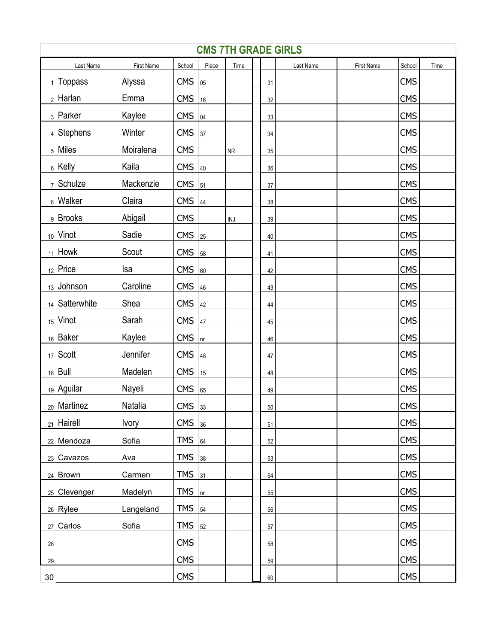|                 | <b>CMS 7TH GRADE GIRLS</b> |              |            |       |                             |  |        |           |            |            |      |  |  |
|-----------------|----------------------------|--------------|------------|-------|-----------------------------|--|--------|-----------|------------|------------|------|--|--|
|                 | Last Name                  | First Name   | School     | Place | Time                        |  |        | Last Name | First Name | School     | Time |  |  |
|                 | $_1$   Toppass             | Alyssa       | <b>CMS</b> | 05    |                             |  | 31     |           |            | <b>CMS</b> |      |  |  |
|                 | $_2$   Harlan              | Emma         | <b>CMS</b> | 16    |                             |  | 32     |           |            | <b>CMS</b> |      |  |  |
|                 | 3 Parker                   | Kaylee       | <b>CMS</b> | 04    |                             |  | 33     |           |            | <b>CMS</b> |      |  |  |
|                 | $4$ Stephens               | Winter       | <b>CMS</b> | 37    |                             |  | $34\,$ |           |            | <b>CMS</b> |      |  |  |
|                 | $_5$ Miles                 | Moiralena    | <b>CMS</b> |       | ${\sf NR}$                  |  | 35     |           |            | <b>CMS</b> |      |  |  |
|                 | $_6$ Kelly                 | Kaila        | <b>CMS</b> | 40    |                             |  | 36     |           |            | <b>CMS</b> |      |  |  |
|                 | $_7$ Schulze               | Mackenzie    | <b>CMS</b> | 51    |                             |  | 37     |           |            | <b>CMS</b> |      |  |  |
|                 | 8   Walker                 | Claira       | <b>CMS</b> | 44    |                             |  | 38     |           |            | <b>CMS</b> |      |  |  |
|                 | 9 Brooks                   | Abigail      | <b>CMS</b> |       | $\ensuremath{\mathsf{INJ}}$ |  | 39     |           |            | <b>CMS</b> |      |  |  |
|                 | $_{10}$ Vinot              | Sadie        | <b>CMS</b> | 25    |                             |  | 40     |           |            | <b>CMS</b> |      |  |  |
|                 | $_{11}$ Howk               | Scout        | <b>CMS</b> | 58    |                             |  | 41     |           |            | <b>CMS</b> |      |  |  |
|                 | $_{12}$ Price              | Isa          | <b>CMS</b> | 60    |                             |  | 42     |           |            | <b>CMS</b> |      |  |  |
|                 | 13 Johnson                 | Caroline     | <b>CMS</b> | 46    |                             |  | 43     |           |            | <b>CMS</b> |      |  |  |
|                 | 14   Satterwhite           | Shea         | <b>CMS</b> | 42    |                             |  | 44     |           |            | <b>CMS</b> |      |  |  |
|                 | $15$ Vinot                 | Sarah        | <b>CMS</b> | 47    |                             |  | 45     |           |            | <b>CMS</b> |      |  |  |
|                 | 16 Baker                   | Kaylee       | <b>CMS</b> | $n$ r |                             |  | 46     |           |            | <b>CMS</b> |      |  |  |
|                 | $_{17}$ Scott              | Jennifer     | <b>CMS</b> | 48    |                             |  | 47     |           |            | <b>CMS</b> |      |  |  |
|                 | $18$ Bull                  | Madelen      | <b>CMS</b> | 15    |                             |  | 48     |           |            | <b>CMS</b> |      |  |  |
|                 | $_{19}$ Aguilar            | Nayeli       | <b>CMS</b> | 65    |                             |  | 49     |           |            | <b>CMS</b> |      |  |  |
|                 | $_{20}$ Martinez           | Natalia      | $CMS$ 33   |       |                             |  | 50     |           |            | <b>CMS</b> |      |  |  |
|                 | $_{21}$ Hairell            | <b>Ivory</b> | <b>CMS</b> | 36    |                             |  | 51     |           |            | <b>CMS</b> |      |  |  |
|                 | 22 Mendoza                 | Sofia        | <b>TMS</b> | 64    |                             |  | 52     |           |            | <b>CMS</b> |      |  |  |
|                 | $23$ Cavazos               | Ava          | <b>TMS</b> | 38    |                             |  | 53     |           |            | <b>CMS</b> |      |  |  |
|                 | $24$ Brown                 | Carmen       | <b>TMS</b> | 31    |                             |  | 54     |           |            | <b>CMS</b> |      |  |  |
|                 | $25$ Clevenger             | Madelyn      | <b>TMS</b> | n r   |                             |  | 55     |           |            | <b>CMS</b> |      |  |  |
|                 | $26$ Rylee                 | Langeland    | <b>TMS</b> | 54    |                             |  | 56     |           |            | <b>CMS</b> |      |  |  |
|                 | $27$ Carlos                | Sofia        | <b>TMS</b> | 52    |                             |  | 57     |           |            | <b>CMS</b> |      |  |  |
| 28              |                            |              | <b>CMS</b> |       |                             |  | 58     |           |            | <b>CMS</b> |      |  |  |
| 29              |                            |              | <b>CMS</b> |       |                             |  | 59     |           |            | <b>CMS</b> |      |  |  |
| 30 <sup>°</sup> |                            |              | <b>CMS</b> |       |                             |  | 60     |           |            | <b>CMS</b> |      |  |  |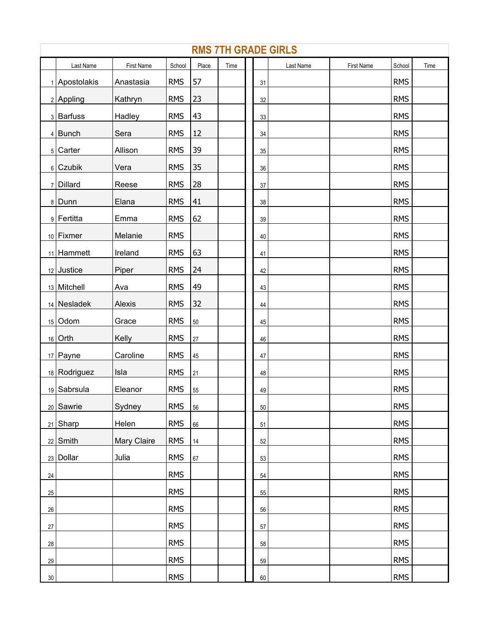|        | <b>RMS 7TH GRADE GIRLS</b> |             |            |        |      |  |        |           |            |            |      |  |  |  |
|--------|----------------------------|-------------|------------|--------|------|--|--------|-----------|------------|------------|------|--|--|--|
|        | Last Name                  | First Name  | School     | Place  | Time |  |        | Last Name | First Name | School     | Time |  |  |  |
|        | 1 Apostolakis              | Anastasia   | <b>RMS</b> | 57     |      |  | 31     |           |            | <b>RMS</b> |      |  |  |  |
|        | $2$ Appling                | Kathryn     | <b>RMS</b> | 23     |      |  | 32     |           |            | <b>RMS</b> |      |  |  |  |
|        | 3 Barfuss                  | Hadley      | <b>RMS</b> | 43     |      |  | 33     |           |            | <b>RMS</b> |      |  |  |  |
|        | $4$ Bunch                  | Sera        | <b>RMS</b> | 12     |      |  | 34     |           |            | <b>RMS</b> |      |  |  |  |
|        | 5 Carter                   | Allison     | <b>RMS</b> | 39     |      |  | $35\,$ |           |            | <b>RMS</b> |      |  |  |  |
|        | $6$ Czubik                 | Vera        | <b>RMS</b> | 35     |      |  | 36     |           |            | <b>RMS</b> |      |  |  |  |
|        | $7$ Dillard                | Reese       | <b>RMS</b> | 28     |      |  | $37\,$ |           |            | <b>RMS</b> |      |  |  |  |
|        | 8 Dunn                     | Elana       | <b>RMS</b> | 41     |      |  | 38     |           |            | <b>RMS</b> |      |  |  |  |
|        | 9 Fertitta                 | Emma        | <b>RMS</b> | 62     |      |  | $39\,$ |           |            | <b>RMS</b> |      |  |  |  |
|        | 10 Fixmer                  | Melanie     | <b>RMS</b> |        |      |  | 40     |           |            | <b>RMS</b> |      |  |  |  |
|        | $11$ Hammett               | Ireland     | <b>RMS</b> | 63     |      |  | 41     |           |            | <b>RMS</b> |      |  |  |  |
|        | 12 Justice                 | Piper       | <b>RMS</b> | 24     |      |  | 42     |           |            | <b>RMS</b> |      |  |  |  |
|        | 13 Mitchell                | Ava         | <b>RMS</b> | 49     |      |  | 43     |           |            | <b>RMS</b> |      |  |  |  |
|        | $14$ Nesladek              | Alexis      | <b>RMS</b> | 32     |      |  | 44     |           |            | <b>RMS</b> |      |  |  |  |
|        | $15$ Odom                  | Grace       | <b>RMS</b> | $50\,$ |      |  | 45     |           |            | <b>RMS</b> |      |  |  |  |
|        | $16$ Orth                  | Kelly       | <b>RMS</b> | 27     |      |  | 46     |           |            | <b>RMS</b> |      |  |  |  |
|        | $17$ Payne                 | Caroline    | <b>RMS</b> | 45     |      |  | 47     |           |            | <b>RMS</b> |      |  |  |  |
|        | 18 Rodriguez               | Isla        | <b>RMS</b> | 21     |      |  | 48     |           |            | <b>RMS</b> |      |  |  |  |
|        | 19 Sabrsula                | Eleanor     | <b>RMS</b> | 55     |      |  | 49     |           |            | <b>RMS</b> |      |  |  |  |
|        | 20 Sawrie                  | Sydney      | <b>RMS</b> | 56     |      |  | 50     |           |            | <b>RMS</b> |      |  |  |  |
|        | $21$ Sharp                 | Helen       | <b>RMS</b> | 66     |      |  | 51     |           |            | <b>RMS</b> |      |  |  |  |
|        | $22$ Smith                 | Mary Claire | <b>RMS</b> | 14     |      |  | 52     |           |            | <b>RMS</b> |      |  |  |  |
|        | $23$ Dollar                | Julia       | <b>RMS</b> | 67     |      |  | 53     |           |            | <b>RMS</b> |      |  |  |  |
| $24\,$ |                            |             | <b>RMS</b> |        |      |  | 54     |           |            | <b>RMS</b> |      |  |  |  |
| 25     |                            |             | <b>RMS</b> |        |      |  | 55     |           |            | <b>RMS</b> |      |  |  |  |
| $26\,$ |                            |             | <b>RMS</b> |        |      |  | 56     |           |            | <b>RMS</b> |      |  |  |  |
| 27     |                            |             | <b>RMS</b> |        |      |  | 57     |           |            | <b>RMS</b> |      |  |  |  |
| $28\,$ |                            |             | <b>RMS</b> |        |      |  | 58     |           |            | <b>RMS</b> |      |  |  |  |
| $29\,$ |                            |             | <b>RMS</b> |        |      |  | 59     |           |            | <b>RMS</b> |      |  |  |  |
| $30\,$ |                            |             | <b>RMS</b> |        |      |  | 60     |           |            | <b>RMS</b> |      |  |  |  |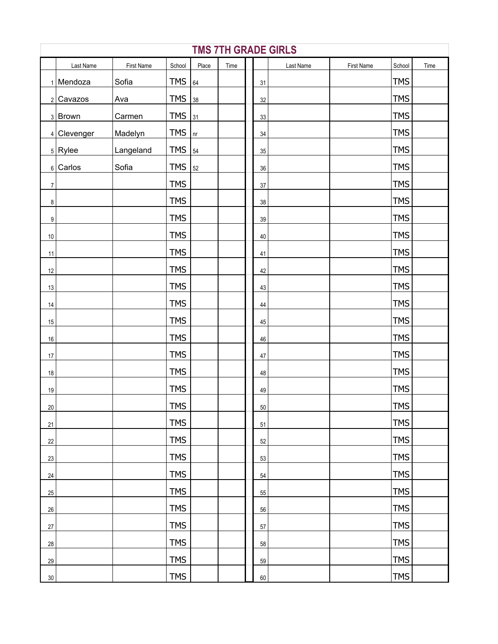|                  | <b>TMS 7TH GRADE GIRLS</b> |            |            |            |      |  |        |           |            |            |      |  |  |
|------------------|----------------------------|------------|------------|------------|------|--|--------|-----------|------------|------------|------|--|--|
|                  | Last Name                  | First Name | School     | Place      | Time |  |        | Last Name | First Name | School     | Time |  |  |
|                  | $1$ Mendoza                | Sofia      | <b>TMS</b> | 64         |      |  | 31     |           |            | <b>TMS</b> |      |  |  |
|                  | $2$ Cavazos                | Ava        | <b>TMS</b> | 38         |      |  | 32     |           |            | <b>TMS</b> |      |  |  |
|                  | 3 Brown                    | Carmen     | <b>TMS</b> | 31         |      |  | 33     |           |            | <b>TMS</b> |      |  |  |
|                  | 4 Clevenger                | Madelyn    | <b>TMS</b> | n <b>r</b> |      |  | $34\,$ |           |            | <b>TMS</b> |      |  |  |
|                  | $5$ Rylee                  | Langeland  | <b>TMS</b> | 54         |      |  | $35\,$ |           |            | <b>TMS</b> |      |  |  |
|                  | $6$ Carlos                 | Sofia      | <b>TMS</b> | 52         |      |  | $36\,$ |           |            | <b>TMS</b> |      |  |  |
| $\overline{7}$   |                            |            | <b>TMS</b> |            |      |  | $37\,$ |           |            | <b>TMS</b> |      |  |  |
| $\bf 8$          |                            |            | <b>TMS</b> |            |      |  | 38     |           |            | <b>TMS</b> |      |  |  |
| $\boldsymbol{9}$ |                            |            | <b>TMS</b> |            |      |  | $39\,$ |           |            | <b>TMS</b> |      |  |  |
| $10\,$           |                            |            | <b>TMS</b> |            |      |  | $40\,$ |           |            | <b>TMS</b> |      |  |  |
| 11               |                            |            | <b>TMS</b> |            |      |  | 41     |           |            | <b>TMS</b> |      |  |  |
| 12               |                            |            | <b>TMS</b> |            |      |  | 42     |           |            | <b>TMS</b> |      |  |  |
| 13               |                            |            | <b>TMS</b> |            |      |  | 43     |           |            | <b>TMS</b> |      |  |  |
| 14               |                            |            | <b>TMS</b> |            |      |  | 44     |           |            | <b>TMS</b> |      |  |  |
| 15               |                            |            | <b>TMS</b> |            |      |  | $45\,$ |           |            | <b>TMS</b> |      |  |  |
| $16\,$           |                            |            | <b>TMS</b> |            |      |  | 46     |           |            | <b>TMS</b> |      |  |  |
| $17\,$           |                            |            | <b>TMS</b> |            |      |  | $47\,$ |           |            | <b>TMS</b> |      |  |  |
| $18\,$           |                            |            | <b>TMS</b> |            |      |  | 48     |           |            | <b>TMS</b> |      |  |  |
| $19$             |                            |            | <b>TMS</b> |            |      |  | 49     |           |            | <b>TMS</b> |      |  |  |
| 20               |                            |            | <b>TMS</b> |            |      |  | $50\,$ |           |            | <b>TMS</b> |      |  |  |
| 21               |                            |            | <b>TMS</b> |            |      |  | 51     |           |            | <b>TMS</b> |      |  |  |
| $22\,$           |                            |            | <b>TMS</b> |            |      |  | 52     |           |            | <b>TMS</b> |      |  |  |
| 23               |                            |            | <b>TMS</b> |            |      |  | 53     |           |            | <b>TMS</b> |      |  |  |
| 24               |                            |            | <b>TMS</b> |            |      |  | 54     |           |            | <b>TMS</b> |      |  |  |
| 25               |                            |            | <b>TMS</b> |            |      |  | 55     |           |            | <b>TMS</b> |      |  |  |
| $26\,$           |                            |            | <b>TMS</b> |            |      |  | 56     |           |            | <b>TMS</b> |      |  |  |
| $27\,$           |                            |            | <b>TMS</b> |            |      |  | 57     |           |            | <b>TMS</b> |      |  |  |
| $28\,$           |                            |            | <b>TMS</b> |            |      |  | 58     |           |            | <b>TMS</b> |      |  |  |
| 29               |                            |            | <b>TMS</b> |            |      |  | 59     |           |            | <b>TMS</b> |      |  |  |
| $30\,$           |                            |            | <b>TMS</b> |            |      |  | 60     |           |            | <b>TMS</b> |      |  |  |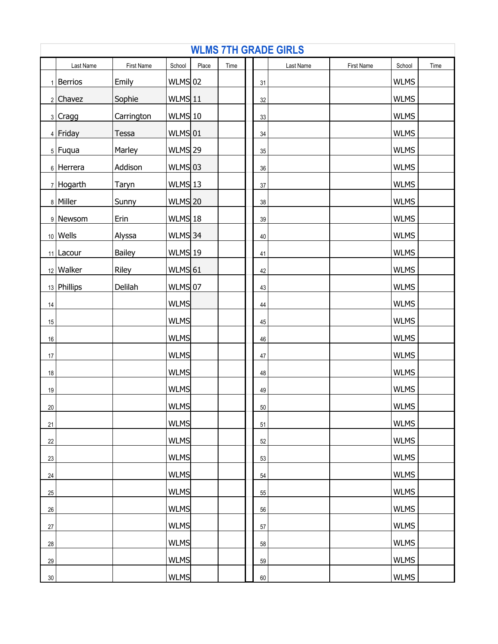|        | <b>WLMS 7TH GRADE GIRLS</b> |              |                |       |      |  |    |           |            |             |      |  |  |
|--------|-----------------------------|--------------|----------------|-------|------|--|----|-----------|------------|-------------|------|--|--|
|        | Last Name                   | First Name   | School         | Place | Time |  |    | Last Name | First Name | School      | Time |  |  |
|        | $1$   Berrios               | Emily        | $WLMS$ 02      |       |      |  | 31 |           |            | <b>WLMS</b> |      |  |  |
|        | $2$ Chavez                  | Sophie       | WLMS 11        |       |      |  | 32 |           |            | <b>WLMS</b> |      |  |  |
|        | 3 Cragg                     | Carrington   | $WLMS$ 10      |       |      |  | 33 |           |            | <b>WLMS</b> |      |  |  |
|        | 4 Friday                    | Tessa        | WLMS 01        |       |      |  | 34 |           |            | <b>WLMS</b> |      |  |  |
|        | $5$ Fuqua                   | Marley       | <b>WLMS</b> 29 |       |      |  | 35 |           |            | <b>WLMS</b> |      |  |  |
|        | 6 Herrera                   | Addison      | $WLMS$ 03      |       |      |  | 36 |           |            | <b>WLMS</b> |      |  |  |
|        | $7$ Hogarth                 | <b>Taryn</b> | WLMS 13        |       |      |  | 37 |           |            | <b>WLMS</b> |      |  |  |
|        | 8 Miller                    | Sunny        | <b>WLMS</b> 20 |       |      |  | 38 |           |            | <b>WLMS</b> |      |  |  |
|        | 9 Newsom                    | Erin         | WLMS 18        |       |      |  | 39 |           |            | <b>WLMS</b> |      |  |  |
|        | $10$ Wells                  | Alyssa       | WLMS 34        |       |      |  | 40 |           |            | <b>WLMS</b> |      |  |  |
|        | $11$   Lacour               | Bailey       | WLMS 19        |       |      |  | 41 |           |            | <b>WLMS</b> |      |  |  |
|        | $12$ Walker                 | Riley        | $WLMS$ 61      |       |      |  | 42 |           |            | <b>WLMS</b> |      |  |  |
|        | 13 Phillips                 | Delilah      | WLMS 07        |       |      |  | 43 |           |            | <b>WLMS</b> |      |  |  |
| 14     |                             |              | <b>WLMS</b>    |       |      |  | 44 |           |            | <b>WLMS</b> |      |  |  |
| 15     |                             |              | <b>WLMS</b>    |       |      |  | 45 |           |            | <b>WLMS</b> |      |  |  |
| 16     |                             |              | <b>WLMS</b>    |       |      |  | 46 |           |            | <b>WLMS</b> |      |  |  |
| 17     |                             |              | <b>WLMS</b>    |       |      |  | 47 |           |            | <b>WLMS</b> |      |  |  |
| 18     |                             |              | <b>WLMS</b>    |       |      |  | 48 |           |            | <b>WLMS</b> |      |  |  |
| 19     |                             |              | <b>WLMS</b>    |       |      |  | 49 |           |            | <b>WLMS</b> |      |  |  |
| $20\,$ |                             |              | <b>WLMS</b>    |       |      |  | 50 |           |            | <b>WLMS</b> |      |  |  |
| 21     |                             |              | <b>WLMS</b>    |       |      |  | 51 |           |            | <b>WLMS</b> |      |  |  |
| 22     |                             |              | <b>WLMS</b>    |       |      |  | 52 |           |            | <b>WLMS</b> |      |  |  |
| 23     |                             |              | <b>WLMS</b>    |       |      |  | 53 |           |            | <b>WLMS</b> |      |  |  |
| 24     |                             |              | <b>WLMS</b>    |       |      |  | 54 |           |            | <b>WLMS</b> |      |  |  |
| 25     |                             |              | <b>WLMS</b>    |       |      |  | 55 |           |            | <b>WLMS</b> |      |  |  |
| 26     |                             |              | <b>WLMS</b>    |       |      |  | 56 |           |            | <b>WLMS</b> |      |  |  |
| $27\,$ |                             |              | <b>WLMS</b>    |       |      |  | 57 |           |            | <b>WLMS</b> |      |  |  |
| $28\,$ |                             |              | <b>WLMS</b>    |       |      |  | 58 |           |            | <b>WLMS</b> |      |  |  |
| 29     |                             |              | <b>WLMS</b>    |       |      |  | 59 |           |            | <b>WLMS</b> |      |  |  |
| 30     |                             |              | <b>WLMS</b>    |       |      |  | 60 |           |            | <b>WLMS</b> |      |  |  |